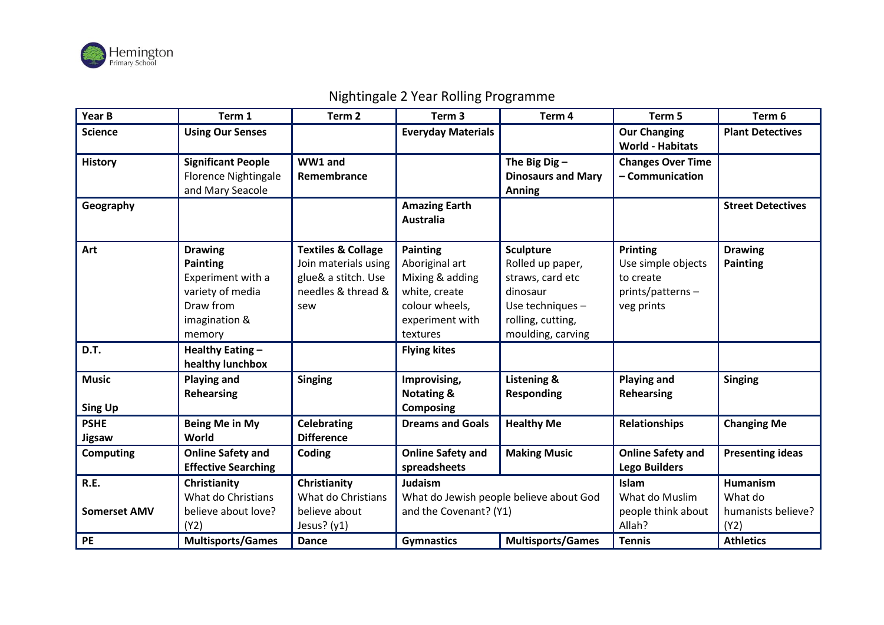

## **Year B Term 1 Term 2 Term 3 Term 4 Term 5 Term 6 Science Everyday Materials Everyday Materials Everyday Materials Everyday Materials Everyday Materials Everyone EVEL World - Habitats Plant Detectives History Significant People** Florence Nightingale and Mary Seacole **WW1 and Remembrance The Big Dig – Dinosaurs and Mary Anning Changes Over Time – Communication Geography Amazing Earth Amazing Earth Australia Street Detectives Art Drawing Painting** Experiment with a variety of media Draw from imagination & memory **Textiles & Collage**  Join materials using glue& a stitch. Use needles & thread & sew **Painting** Aboriginal art Mixing & adding white, create colour wheels, experiment with textures **Sculpture** Rolled up paper, straws, card etc dinosaur Use techniques – rolling, cutting, moulding, carving **Printing** Use simple objects to create prints/patterns – veg prints **Drawing Painting D.T. Healthy Eating – healthy lunchbox Flying kites Music Sing Up Playing and Rehearsing Singing Improvising, Notating & Composing Listening & Responding Playing and Rehearsing Singing PSHE Jigsaw Being Me in My World Celebrating Difference Dreams and Goals Healthy Me Relationships Changing Me Computing Online Safety and Effective Searching Coding Online Safety and spreadsheets Making Music Online Safety and Lego Builders Presenting ideas R.E. Somerset AMV Christianity** What do Christians believe about love? (Y2) **Christianity** What do Christians believe about Jesus? (y1) **Judaism** What do Jewish people believe about God and the Covenant? (Y1) **Islam** What do Muslim people think about Allah? **Humanism** What do humanists believe? (Y2) **PE Multisports/Games Dance Gymnastics Multisports/Games Tennis Athletics**

## Nightingale 2 Year Rolling Programme